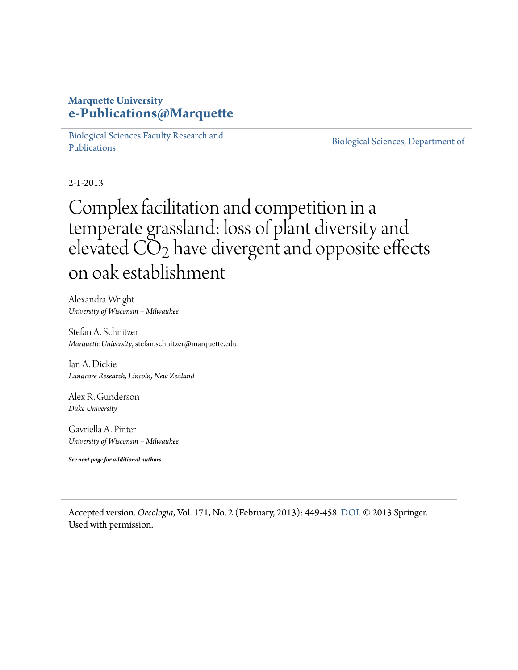## **Marquette University [e-Publications@Marquette](https://epublications.marquette.edu/)**

[Biological Sciences Faculty Research and](https://epublications.marquette.edu/bio_fac) [Publications](https://epublications.marquette.edu/bio_fac)

[Biological Sciences, Department of](https://epublications.marquette.edu/biology)

2-1-2013

## Complex facilitation and competition in a temperate grassland: loss of plant diversity and elevated  $CO<sub>2</sub>$  have divergent and opposite effects on oak establishment

Alexandra Wright *University of Wisconsin – Milwaukee*

Stefan A. Schnitzer *Marquette University*, stefan.schnitzer@marquette.edu

Ian A. Dickie *Landcare Research, Lincoln, New Zealand*

Alex R. Gunderson *Duke University*

Gavriella A. Pinter *University of Wisconsin – Milwaukee*

*See next page for additional authors*

Accepted version. *Oecologia*, Vol. 171, No. 2 (February, 2013): 449-458. DOI. © 2013 Springer. Used with permission.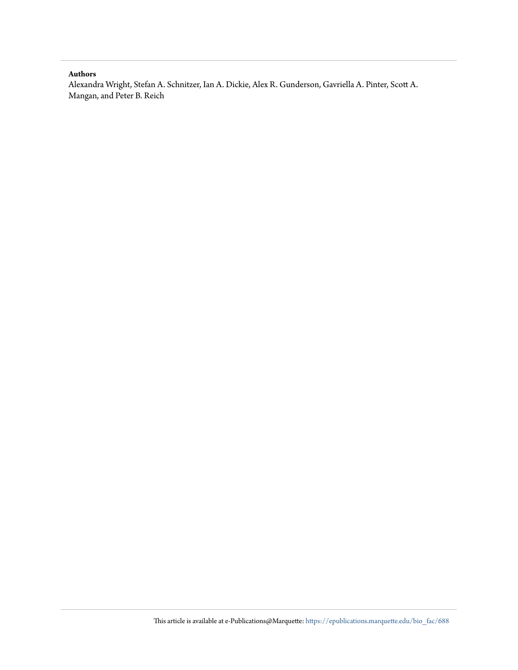#### **Authors**

Alexandra Wright, Stefan A. Schnitzer, Ian A. Dickie, Alex R. Gunderson, Gavriella A. Pinter, Scott A. Mangan, and Peter B. Reich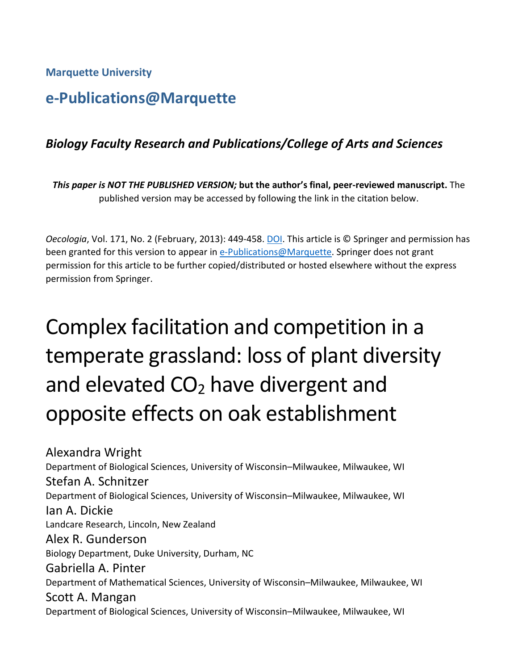**Marquette University**

## **e-Publications@Marquette**

## *Biology Faculty Research and Publications/College of Arts and Sciences*

*This paper is NOT THE PUBLISHED VERSION;* **but the author's final, peer-reviewed manuscript.** The published version may be accessed by following the link in the citation below.

*Oecologia*, Vol. 171, No. 2 (February, 2013): 449-458. DOI. This article is © Springer and permission has been granted for this version to appear in [e-Publications@Marquette.](http://epublications.marquette.edu/) Springer does not grant permission for this article to be further copied/distributed or hosted elsewhere without the express permission from Springer.

# Complex facilitation and competition in a temperate grassland: loss of plant diversity and elevated  $CO<sub>2</sub>$  have divergent and opposite effects on oak establishment

Alexandra Wright Department of Biological Sciences, University of Wisconsin–Milwaukee, Milwaukee, WI Stefan A. Schnitzer Department of Biological Sciences, University of Wisconsin–Milwaukee, Milwaukee, WI Ian A. Dickie Landcare Research, Lincoln, New Zealand Alex R. Gunderson Biology Department, Duke University, Durham, NC Gabriella A. Pinter Department of Mathematical Sciences, University of Wisconsin–Milwaukee, Milwaukee, WI Scott A. Mangan Department of Biological Sciences, University of Wisconsin–Milwaukee, Milwaukee, WI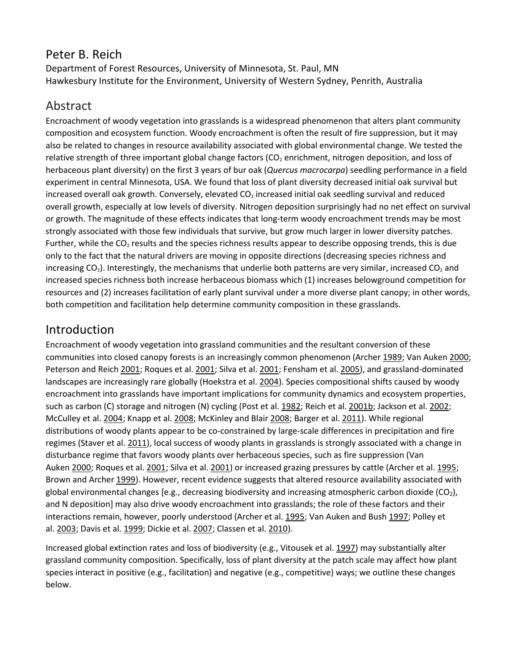## Peter B. Reich

Department of Forest Resources, University of Minnesota, St. Paul, MN Hawkesbury Institute for the Environment, University of Western Sydney, Penrith, Australia

## Abstract

Encroachment of woody vegetation into grasslands is a widespread phenomenon that alters plant community composition and ecosystem function. Woody encroachment is often the result of fire suppression, but it may also be related to changes in resource availability associated with global environmental change. We tested the relative strength of three important global change factors (CO<sub>2</sub> enrichment, nitrogen deposition, and loss of herbaceous plant diversity) on the first 3 years of bur oak (*Quercus macrocarpa*) seedling performance in a field experiment in central Minnesota, USA. We found that loss of plant diversity decreased initial oak survival but increased overall oak growth. Conversely, elevated  $CO<sub>2</sub>$  increased initial oak seedling survival and reduced overall growth, especially at low levels of diversity. Nitrogen deposition surprisingly had no net effect on survival or growth. The magnitude of these effects indicates that long-term woody encroachment trends may be most strongly associated with those few individuals that survive, but grow much larger in lower diversity patches. Further, while the  $CO<sub>2</sub>$  results and the species richness results appear to describe opposing trends, this is due only to the fact that the natural drivers are moving in opposite directions (decreasing species richness and increasing  $CO<sub>2</sub>$ ). Interestingly, the mechanisms that underlie both patterns are very similar, increased  $CO<sub>2</sub>$  and increased species richness both increase herbaceous biomass which (1) increases belowground competition for resources and (2) increases facilitation of early plant survival under a more diverse plant canopy; in other words, both competition and facilitation help determine community composition in these grasslands.

## Introduction

Encroachment of woody vegetation into grassland communities and the resultant conversion of these communities into closed canopy forests is an increasingly common phenomenon (Archer [1989;](https://link.springer.com/article/10.1007%2Fs00442-012-2420-y#CR4) Van Auken [2000;](https://link.springer.com/article/10.1007%2Fs00442-012-2420-y#CR60) Peterson and Reich [2001;](https://link.springer.com/article/10.1007%2Fs00442-012-2420-y#CR54) Roques et al. 2001; Silva et al. 2001; Fensham et al. [2005\)](https://link.springer.com/article/10.1007%2Fs00442-012-2420-y#CR28), and grassland-dominated landscapes are increasingly rare globally (Hoekstra et al. [2004\)](https://link.springer.com/article/10.1007%2Fs00442-012-2420-y#CR29). Species compositional shifts caused by woody encroachment into grasslands have important implications for community dynamics and ecosystem properties, such as carbon (C) storage and nitrogen (N) cycling (Post et al. [1982;](https://link.springer.com/article/10.1007%2Fs00442-012-2420-y#CR45) Reich et al. [2001b;](https://link.springer.com/article/10.1007%2Fs00442-012-2420-y#CR48) Jackson et al. [2002;](https://link.springer.com/article/10.1007%2Fs00442-012-2420-y#CR31) McCulley et al. [2004;](https://link.springer.com/article/10.1007%2Fs00442-012-2420-y#CR36) Knapp et al. [2008;](https://link.springer.com/article/10.1007%2Fs00442-012-2420-y#CR34) McKinley and Blair [2008;](https://link.springer.com/article/10.1007%2Fs00442-012-2420-y#CR37) Barger et al. [2011\)](https://link.springer.com/article/10.1007%2Fs00442-012-2420-y#CR6). While regional distributions of woody plants appear to be co-constrained by large-scale differences in precipitation and fire regimes (Staver et al. [2011\)](https://link.springer.com/article/10.1007%2Fs00442-012-2420-y#CR55), local success of woody plants in grasslands is strongly associated with a change in disturbance regime that favors woody plants over herbaceous species, such as fire suppression (Van Auken [2000;](https://link.springer.com/article/10.1007%2Fs00442-012-2420-y#CR60) Roques et al. [2001;](https://link.springer.com/article/10.1007%2Fs00442-012-2420-y#CR51) Silva et al. [2001\)](https://link.springer.com/article/10.1007%2Fs00442-012-2420-y#CR54) or increased grazing pressures by cattle (Archer et al. [1995;](https://link.springer.com/article/10.1007%2Fs00442-012-2420-y#CR5) Brown and Archer [1999\)](https://link.springer.com/article/10.1007%2Fs00442-012-2420-y#CR12). However, recent evidence suggests that altered resource availability associated with global environmental changes [e.g., decreasing biodiversity and increasing atmospheric carbon dioxide (CO2), and N deposition] may also drive woody encroachment into grasslands; the role of these factors and their interactions remain, however, poorly understood (Archer et al. [1995;](https://link.springer.com/article/10.1007%2Fs00442-012-2420-y#CR5) Van Auken and Bush [1997;](https://link.springer.com/article/10.1007%2Fs00442-012-2420-y#CR61) Polley et al. [2003;](https://link.springer.com/article/10.1007%2Fs00442-012-2420-y#CR44) Davis et al. [1999;](https://link.springer.com/article/10.1007%2Fs00442-012-2420-y#CR22) Dickie et al. [2007;](https://link.springer.com/article/10.1007%2Fs00442-012-2420-y#CR24) Classen et al. [2010\)](https://link.springer.com/article/10.1007%2Fs00442-012-2420-y#CR19).

Increased global extinction rates and loss of biodiversity (e.g., Vitousek et al. [1997\)](https://link.springer.com/article/10.1007%2Fs00442-012-2420-y#CR63) may substantially alter grassland community composition. Specifically, loss of plant diversity at the patch scale may affect how plant species interact in positive (e.g., facilitation) and negative (e.g., competitive) ways; we outline these changes below.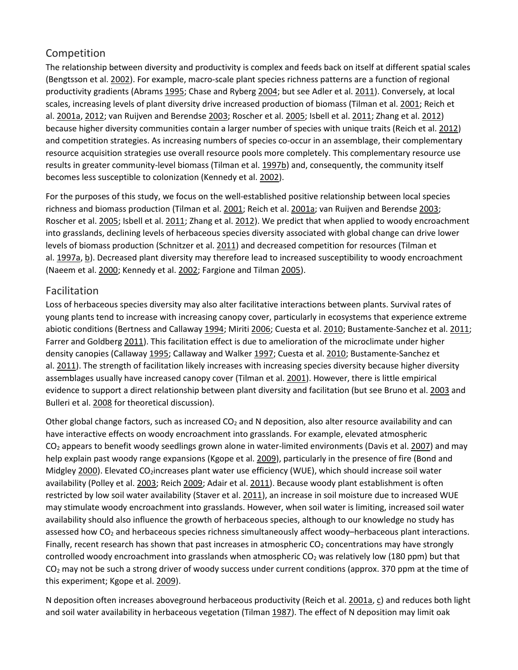#### Competition

The relationship between diversity and productivity is complex and feeds back on itself at different spatial scales (Bengtsson et al. [2002\)](https://link.springer.com/article/10.1007%2Fs00442-012-2420-y#CR7). For example, macro-scale plant species richness patterns are a function of regional productivity gradients (Abrams [1995;](https://link.springer.com/article/10.1007%2Fs00442-012-2420-y#CR1) Chase and Ryberg [2004;](https://link.springer.com/article/10.1007%2Fs00442-012-2420-y#CR18) but see Adler et al. [2011\)](https://link.springer.com/article/10.1007%2Fs00442-012-2420-y#CR3). Conversely, at local scales, increasing levels of plant diversity drive increased production of biomass (Tilman et al. [2001;](https://link.springer.com/article/10.1007%2Fs00442-012-2420-y#CR59) Reich et al. [2001a,](https://link.springer.com/article/10.1007%2Fs00442-012-2420-y#CR47) [2012;](https://link.springer.com/article/10.1007%2Fs00442-012-2420-y#CR50) van Ruijven and Berendse [2003;](https://link.springer.com/article/10.1007%2Fs00442-012-2420-y#CR62) Roscher et al. [2005;](https://link.springer.com/article/10.1007%2Fs00442-012-2420-y#CR52) Isbell et al. [2011;](https://link.springer.com/article/10.1007%2Fs00442-012-2420-y#CR30) Zhang et al. [2012\)](https://link.springer.com/article/10.1007%2Fs00442-012-2420-y#CR64) because higher diversity communities contain a larger number of species with unique traits (Reich et al. [2012\)](https://link.springer.com/article/10.1007%2Fs00442-012-2420-y#CR50) and competition strategies. As increasing numbers of species co-occur in an assemblage, their complementary resource acquisition strategies use overall resource pools more completely. This complementary resource use results in greater community-level biomass (Tilman et al. [1997b\)](https://link.springer.com/article/10.1007%2Fs00442-012-2420-y#CR58) and, consequently, the community itself becomes less susceptible to colonization (Kennedy et al. [2002\)](https://link.springer.com/article/10.1007%2Fs00442-012-2420-y#CR32).

For the purposes of this study, we focus on the well-established positive relationship between local species richness and biomass production (Tilman et al. [2001;](https://link.springer.com/article/10.1007%2Fs00442-012-2420-y#CR59) Reich et al. [2001a;](https://link.springer.com/article/10.1007%2Fs00442-012-2420-y#CR47) van Ruijven and Berendse [2003;](https://link.springer.com/article/10.1007%2Fs00442-012-2420-y#CR62) Roscher et al. [2005;](https://link.springer.com/article/10.1007%2Fs00442-012-2420-y#CR52) Isbell et al. [2011;](https://link.springer.com/article/10.1007%2Fs00442-012-2420-y#CR30) Zhang et al. [2012\)](https://link.springer.com/article/10.1007%2Fs00442-012-2420-y#CR64). We predict that when applied to woody encroachment into grasslands, declining levels of herbaceous species diversity associated with global change can drive lower levels of biomass production (Schnitzer et al. [2011\)](https://link.springer.com/article/10.1007%2Fs00442-012-2420-y#CR53) and decreased competition for resources (Tilman et al. [1997a,](https://link.springer.com/article/10.1007%2Fs00442-012-2420-y#CR57) [b\)](https://link.springer.com/article/10.1007%2Fs00442-012-2420-y#CR58). Decreased plant diversity may therefore lead to increased susceptibility to woody encroachment (Naeem et al. [2000;](https://link.springer.com/article/10.1007%2Fs00442-012-2420-y#CR40) Kennedy et al. [2002;](https://link.springer.com/article/10.1007%2Fs00442-012-2420-y#CR32) Fargione and Tilman [2005\)](https://link.springer.com/article/10.1007%2Fs00442-012-2420-y#CR26).

#### Facilitation

Loss of herbaceous species diversity may also alter facilitative interactions between plants. Survival rates of young plants tend to increase with increasing canopy cover, particularly in ecosystems that experience extreme abiotic conditions (Bertness and Callaway [1994;](https://link.springer.com/article/10.1007%2Fs00442-012-2420-y#CR8) Miriti [2006;](https://link.springer.com/article/10.1007%2Fs00442-012-2420-y#CR38) Cuesta et al. [2010;](https://link.springer.com/article/10.1007%2Fs00442-012-2420-y#CR20) Bustamente-Sanchez et al. [2011;](https://link.springer.com/article/10.1007%2Fs00442-012-2420-y#CR15) Farrer and Goldberg [2011\)](https://link.springer.com/article/10.1007%2Fs00442-012-2420-y#CR27). This facilitation effect is due to amelioration of the microclimate under higher density canopies (Callaway [1995;](https://link.springer.com/article/10.1007%2Fs00442-012-2420-y#CR16) Callaway and Walker [1997;](https://link.springer.com/article/10.1007%2Fs00442-012-2420-y#CR17) Cuesta et al. [2010;](https://link.springer.com/article/10.1007%2Fs00442-012-2420-y#CR20) Bustamente-Sanchez et al. [2011\)](https://link.springer.com/article/10.1007%2Fs00442-012-2420-y#CR15). The strength of facilitation likely increases with increasing species diversity because higher diversity assemblages usually have increased canopy cover (Tilman et al. [2001\)](https://link.springer.com/article/10.1007%2Fs00442-012-2420-y#CR59). However, there is little empirical evidence to support a direct relationship between plant diversity and facilitation (but see Bruno et al. [2003](https://link.springer.com/article/10.1007%2Fs00442-012-2420-y#CR13) and Bulleri et al. [2008](https://link.springer.com/article/10.1007%2Fs00442-012-2420-y#CR14) for theoretical discussion).

Other global change factors, such as increased  $CO<sub>2</sub>$  and N deposition, also alter resource availability and can have interactive effects on woody encroachment into grasslands. For example, elevated atmospheric CO<sub>2</sub> appears to benefit woody seedlings grown alone in water-limited environments (Davis et al. [2007\)](https://link.springer.com/article/10.1007%2Fs00442-012-2420-y#CR23) and may help explain past woody range expansions (Kgope et al. [2009\)](https://link.springer.com/article/10.1007%2Fs00442-012-2420-y#CR33), particularly in the presence of fire (Bond and Midgley [2000\)](https://link.springer.com/article/10.1007%2Fs00442-012-2420-y#CR10). Elevated CO<sub>2</sub>increases plant water use efficiency (WUE), which should increase soil water availability (Polley et al. [2003;](https://link.springer.com/article/10.1007%2Fs00442-012-2420-y#CR44) Reich [2009;](https://link.springer.com/article/10.1007%2Fs00442-012-2420-y#CR46) Adair et al. [2011\)](https://link.springer.com/article/10.1007%2Fs00442-012-2420-y#CR2). Because woody plant establishment is often restricted by low soil water availability (Staver et al. [2011\)](https://link.springer.com/article/10.1007%2Fs00442-012-2420-y#CR55), an increase in soil moisture due to increased WUE may stimulate woody encroachment into grasslands. However, when soil water is limiting, increased soil water availability should also influence the growth of herbaceous species, although to our knowledge no study has assessed how CO<sub>2</sub> and herbaceous species richness simultaneously affect woody–herbaceous plant interactions. Finally, recent research has shown that past increases in atmospheric  $CO<sub>2</sub>$  concentrations may have strongly controlled woody encroachment into grasslands when atmospheric  $CO<sub>2</sub>$  was relatively low (180 ppm) but that  $CO<sub>2</sub>$  may not be such a strong driver of woody success under current conditions (approx. 370 ppm at the time of this experiment; Kgope et al. [2009\)](https://link.springer.com/article/10.1007%2Fs00442-012-2420-y#CR33).

N deposition often increases aboveground herbaceous productivity (Reich et al. [2001a,](https://link.springer.com/article/10.1007%2Fs00442-012-2420-y#CR47) [c\)](https://link.springer.com/article/10.1007%2Fs00442-012-2420-y#CR49) and reduces both light and soil water availability in herbaceous vegetation (Tilman [1987\)](https://link.springer.com/article/10.1007%2Fs00442-012-2420-y#CR56). The effect of N deposition may limit oak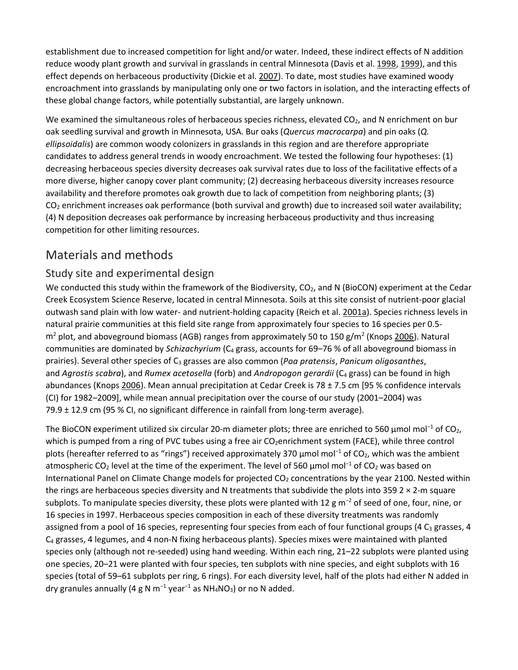establishment due to increased competition for light and/or water. Indeed, these indirect effects of N addition reduce woody plant growth and survival in grasslands in central Minnesota (Davis et al. [1998,](https://link.springer.com/article/10.1007%2Fs00442-012-2420-y#CR21) [1999\)](https://link.springer.com/article/10.1007%2Fs00442-012-2420-y#CR22), and this effect depends on herbaceous productivity (Dickie et al. [2007\)](https://link.springer.com/article/10.1007%2Fs00442-012-2420-y#CR24). To date, most studies have examined woody encroachment into grasslands by manipulating only one or two factors in isolation, and the interacting effects of these global change factors, while potentially substantial, are largely unknown.

We examined the simultaneous roles of herbaceous species richness, elevated  $CO<sub>2</sub>$ , and N enrichment on bur oak seedling survival and growth in Minnesota, USA. Bur oaks (*Quercus macrocarpa*) and pin oaks (*Q. ellipsoidalis*) are common woody colonizers in grasslands in this region and are therefore appropriate candidates to address general trends in woody encroachment. We tested the following four hypotheses: (1) decreasing herbaceous species diversity decreases oak survival rates due to loss of the facilitative effects of a more diverse, higher canopy cover plant community; (2) decreasing herbaceous diversity increases resource availability and therefore promotes oak growth due to lack of competition from neighboring plants; (3)  $CO<sub>2</sub>$  enrichment increases oak performance (both survival and growth) due to increased soil water availability; (4) N deposition decreases oak performance by increasing herbaceous productivity and thus increasing competition for other limiting resources.

## Materials and methods

#### Study site and experimental design

We conducted this study within the framework of the Biodiversity, CO<sub>2</sub>, and N (BioCON) experiment at the Cedar Creek Ecosystem Science Reserve, located in central Minnesota. Soils at this site consist of nutrient-poor glacial outwash sand plain with low water- and nutrient-holding capacity (Reich et al. [2001a\)](https://link.springer.com/article/10.1007%2Fs00442-012-2420-y#CR47). Species richness levels in natural prairie communities at this field site range from approximately four species to 16 species per 0.5  $m<sup>2</sup>$  plot, and aboveground biomass (AGB) ranges from approximately 50 to 150 g/m<sup>2</sup> (Knops [2006\)](https://link.springer.com/article/10.1007%2Fs00442-012-2420-y#CR35). Natural communities are dominated by *Schizachyrium* (C4 grass, accounts for 69–76 % of all aboveground biomass in prairies). Several other species of C3 grasses are also common (*Poa pratensis*, *Panicum oligosanthes*, and *Agrostis scabra*), and *Rumex acetosella* (forb) and *Andropogon gerardii* (C<sub>4</sub> grass) can be found in high abundances (Knops [2006\)](https://link.springer.com/article/10.1007%2Fs00442-012-2420-y#CR35). Mean annual precipitation at Cedar Creek is 78 ± 7.5 cm [95 % confidence intervals (CI) for 1982–2009], while mean annual precipitation over the course of our study (2001–2004) was 79.9  $\pm$  12.9 cm (95 % CI, no significant difference in rainfall from long-term average).

The BioCON experiment utilized six circular 20-m diameter plots; three are enriched to 560 μmol mol<sup>−1</sup> of CO<sub>2</sub>, which is pumped from a ring of PVC tubes using a free air CO<sub>2</sub>enrichment system (FACE), while three control plots (hereafter referred to as "rings") received approximately 370 μmol mol<sup>-1</sup> of CO<sub>2</sub>, which was the ambient atmospheric CO<sub>2</sub> level at the time of the experiment. The level of 560 µmol mol<sup>-1</sup> of CO<sub>2</sub> was based on International Panel on Climate Change models for projected CO<sub>2</sub> concentrations by the year 2100. Nested within the rings are herbaceous species diversity and N treatments that subdivide the plots into 359 2  $\times$  2-m square subplots. To manipulate species diversity, these plots were planted with 12 g m<sup>-2</sup> of seed of one, four, nine, or 16 species in 1997. Herbaceous species composition in each of these diversity treatments was randomly assigned from a pool of 16 species, representing four species from each of four functional groups (4  $C_3$  grasses, 4 C4 grasses, 4 legumes, and 4 non-N fixing herbaceous plants). Species mixes were maintained with planted species only (although not re-seeded) using hand weeding. Within each ring, 21–22 subplots were planted using one species, 20–21 were planted with four species, ten subplots with nine species, and eight subplots with 16 species (total of 59–61 subplots per ring, 6 rings). For each diversity level, half of the plots had either N added in dry granules annually (4 g N m<sup>-1</sup> year<sup>-1</sup> as NH<sub>4</sub>NO<sub>3</sub>) or no N added.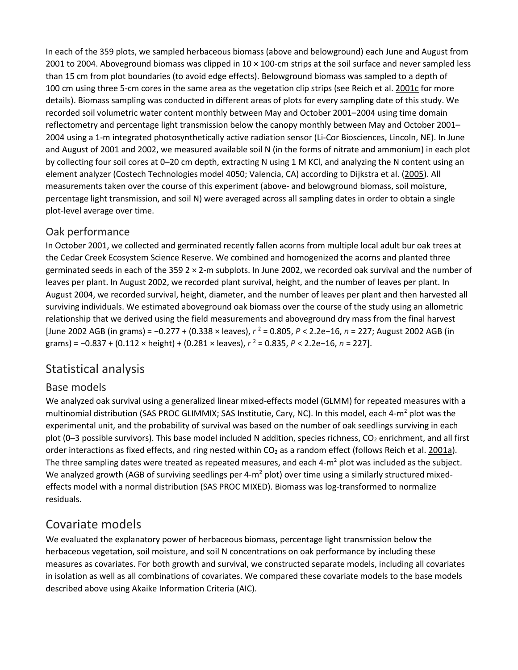In each of the 359 plots, we sampled herbaceous biomass (above and belowground) each June and August from 2001 to 2004. Aboveground biomass was clipped in 10 × 100-cm strips at the soil surface and never sampled less than 15 cm from plot boundaries (to avoid edge effects). Belowground biomass was sampled to a depth of 100 cm using three 5-cm cores in the same area as the vegetation clip strips (see Reich et al. [2001c](https://link.springer.com/article/10.1007%2Fs00442-012-2420-y#CR49) for more details). Biomass sampling was conducted in different areas of plots for every sampling date of this study. We recorded soil volumetric water content monthly between May and October 2001–2004 using time domain reflectometry and percentage light transmission below the canopy monthly between May and October 2001– 2004 using a 1-m integrated photosynthetically active radiation sensor (Li-Cor Biosciences, Lincoln, NE). In June and August of 2001 and 2002, we measured available soil N (in the forms of nitrate and ammonium) in each plot by collecting four soil cores at 0–20 cm depth, extracting N using 1 M KCl, and analyzing the N content using an element analyzer (Costech Technologies model 4050; Valencia, CA) according to Dijkstra et al. [\(2005\)](https://link.springer.com/article/10.1007%2Fs00442-012-2420-y#CR25). All measurements taken over the course of this experiment (above- and belowground biomass, soil moisture, percentage light transmission, and soil N) were averaged across all sampling dates in order to obtain a single plot-level average over time.

#### Oak performance

In October 2001, we collected and germinated recently fallen acorns from multiple local adult bur oak trees at the Cedar Creek Ecosystem Science Reserve. We combined and homogenized the acorns and planted three germinated seeds in each of the 359 2 × 2-m subplots. In June 2002, we recorded oak survival and the number of leaves per plant. In August 2002, we recorded plant survival, height, and the number of leaves per plant. In August 2004, we recorded survival, height, diameter, and the number of leaves per plant and then harvested all surviving individuals. We estimated aboveground oak biomass over the course of the study using an allometric relationship that we derived using the field measurements and aboveground dry mass from the final harvest [June 2002 AGB (in grams) = −0.277 + (0.338 × leaves), *r* <sup>2</sup> = 0.805, *P* < 2.2e−16, *n* = 227; August 2002 AGB (in grams) = -0.837 + (0.112 × height) + (0.281 × leaves),  $r^2$  = 0.835,  $P$  < 2.2e-16,  $n = 227$ ].

## Statistical analysis

#### Base models

We analyzed oak survival using a generalized linear mixed-effects model (GLMM) for repeated measures with a multinomial distribution (SAS PROC GLIMMIX; SAS Institutie, Cary, NC). In this model, each 4-m<sup>2</sup> plot was the experimental unit, and the probability of survival was based on the number of oak seedlings surviving in each plot (0–3 possible survivors). This base model included N addition, species richness, CO<sub>2</sub> enrichment, and all first order interactions as fixed effects, and ring nested within  $CO<sub>2</sub>$  as a random effect (follows Reich et al. [2001a\)](https://link.springer.com/article/10.1007%2Fs00442-012-2420-y#CR47). The three sampling dates were treated as repeated measures, and each  $4-m^2$  plot was included as the subject. We analyzed growth (AGB of surviving seedlings per 4- $m^2$  plot) over time using a similarly structured mixedeffects model with a normal distribution (SAS PROC MIXED). Biomass was log-transformed to normalize residuals.

## Covariate models

We evaluated the explanatory power of herbaceous biomass, percentage light transmission below the herbaceous vegetation, soil moisture, and soil N concentrations on oak performance by including these measures as covariates. For both growth and survival, we constructed separate models, including all covariates in isolation as well as all combinations of covariates. We compared these covariate models to the base models described above using Akaike Information Criteria (AIC).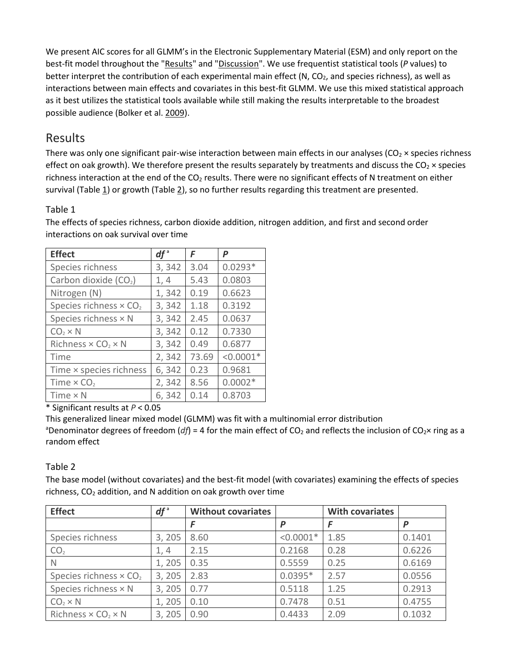We present AIC scores for all GLMM's in the Electronic Supplementary Material (ESM) and only report on the best-fit model throughout the ["Results"](https://link.springer.com/article/10.1007%2Fs00442-012-2420-y#Sec10) and ["Discussion"](https://link.springer.com/article/10.1007%2Fs00442-012-2420-y#Sec14). We use frequentist statistical tools (*P* values) to better interpret the contribution of each experimental main effect (N,  $CO<sub>2</sub>$ , and species richness), as well as interactions between main effects and covariates in this best-fit GLMM. We use this mixed statistical approach as it best utilizes the statistical tools available while still making the results interpretable to the broadest possible audience (Bolker et al. [2009\)](https://link.springer.com/article/10.1007%2Fs00442-012-2420-y#CR9).

## Results

There was only one significant pair-wise interaction between main effects in our analyses ( $CO<sub>2</sub> \times$  species richness effect on oak growth). We therefore present the results separately by treatments and discuss the  $CO_2 \times$  species richness interaction at the end of the  $CO<sub>2</sub>$  results. There were no significant effects of N treatment on either survival (Table  $\underline{1}$ ) or growth (Table  $\underline{2}$ ), so no further results regarding this treatment are presented.

#### Table 1

| <b>Effect</b>                                | $df^{\mathsf{a}}$ | F     | P           |
|----------------------------------------------|-------------------|-------|-------------|
| Species richness                             | 3,342             | 3.04  | $0.0293*$   |
| Carbon dioxide (CO <sub>2</sub> )            | 1, 4              | 5.43  | 0.0803      |
| Nitrogen (N)                                 | 1,342             | 0.19  | 0.6623      |
| Species richness $\times$ CO <sub>2</sub>    | 3,342             | 1.18  | 0.3192      |
| Species richness × N                         | 3,342             | 2.45  | 0.0637      |
| $CO2 \times N$                               | 3,342             | 0.12  | 0.7330      |
| Richness $\times$ CO <sub>2</sub> $\times$ N | 3,342             | 0.49  | 0.6877      |
| Time                                         | 2,342             | 73.69 | $< 0.0001*$ |
| Time × species richness                      | 6,342             | 0.23  | 0.9681      |
| Time $\times$ CO <sub>2</sub>                | 2,342             | 8.56  | $0.0002*$   |
| Time $\times$ N                              | 6,342             | 0.14  | 0.8703      |

The effects of species richness, carbon dioxide addition, nitrogen addition, and first and second order interactions on oak survival over time

\* Significant results at *P* < 0.05

This generalized linear mixed model (GLMM) was fit with a multinomial error distribution

<sup>a</sup>Denominator degrees of freedom (*df*) = 4 for the main effect of CO<sub>2</sub> and reflects the inclusion of CO<sub>2</sub>× ring as a random effect

#### Table 2

The base model (without covariates) and the best-fit model (with covariates) examining the effects of species richness, CO2 addition, and N addition on oak growth over time

| <b>Effect</b>                                | $df^a$ | <b>Without covariates</b> |             | <b>With covariates</b> |        |
|----------------------------------------------|--------|---------------------------|-------------|------------------------|--------|
|                                              |        | F                         | P           |                        | D      |
| Species richness                             | 3, 205 | 8.60                      | $< 0.0001*$ | 1.85                   | 0.1401 |
| CO <sub>2</sub>                              | 1, 4   | 2.15                      | 0.2168      | 0.28                   | 0.6226 |
| <sup>N</sup>                                 | 1,205  | 0.35                      | 0.5559      | 0.25                   | 0.6169 |
| Species richness $\times$ CO <sub>2</sub>    | 3, 205 | 2.83                      | $0.0395*$   | 2.57                   | 0.0556 |
| Species richness $\times$ N                  | 3, 205 | 0.77                      | 0.5118      | 1.25                   | 0.2913 |
| $CO2 \times N$                               | 1,205  | 0.10                      | 0.7478      | 0.51                   | 0.4755 |
| Richness $\times$ CO <sub>2</sub> $\times$ N | 3, 205 | 0.90                      | 0.4433      | 2.09                   | 0.1032 |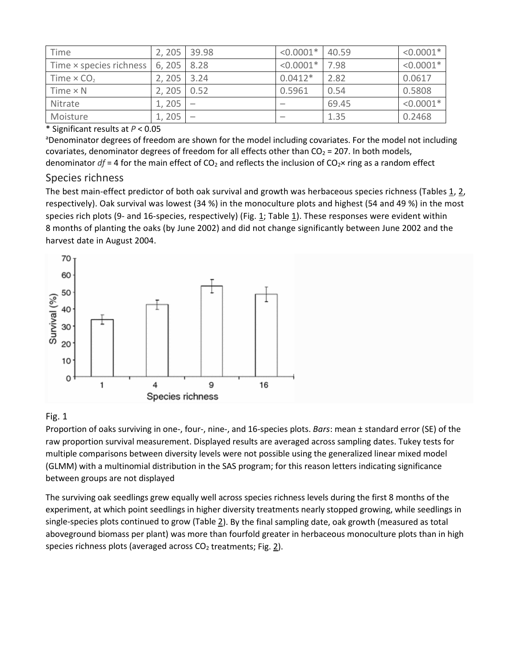| Time                          | 2, 205 | 39.98 | $< 0.0001*$ | 40.59 | $< 0.0001*$ |
|-------------------------------|--------|-------|-------------|-------|-------------|
| Time × species richness       | 6, 205 | 8.28  | $< 0.0001*$ | 7.98  | $< 0.0001*$ |
| Time $\times$ CO <sub>2</sub> | 2, 205 | 3.24  | $0.0412*$   | 2.82  | 0.0617      |
| Time $\times$ N               | 2, 205 | 0.52  | 0.5961      | 0.54  | 0.5808      |
| Nitrate                       | 1,205  |       |             | 69.45 | $< 0.0001*$ |
| Moisture                      | 1,205  |       | -           | 1.35  | 0.2468      |

#### \* Significant results at *P* < 0.05

<sup>a</sup>Denominator degrees of freedom are shown for the model including covariates. For the model not including covariates, denominator degrees of freedom for all effects other than  $CO<sub>2</sub> = 207$ . In both models, denominator  $df = 4$  for the main effect of CO<sub>2</sub> and reflects the inclusion of CO<sub>2</sub>× ring as a random effect

#### Species richness

The best main-effect predictor of both oak survival and growth was herbaceous species richness (Tables [1,](https://link.springer.com/article/10.1007%2Fs00442-012-2420-y#Tab1) [2,](https://link.springer.com/article/10.1007%2Fs00442-012-2420-y#Tab2) respectively). Oak survival was lowest (34 %) in the monoculture plots and highest (54 and 49 %) in the most species rich plots (9- and 16-species, respectively) (Fig. [1;](https://link.springer.com/article/10.1007%2Fs00442-012-2420-y#Fig1) Table [1\)](https://link.springer.com/article/10.1007%2Fs00442-012-2420-y#Tab1). These responses were evident within 8 months of planting the oaks (by June 2002) and did not change significantly between June 2002 and the harvest date in August 2004.



#### Fig. 1

Proportion of oaks surviving in one-, four-, nine-, and 16-species plots. *Bars*: mean ± standard error (SE) of the raw proportion survival measurement. Displayed results are averaged across sampling dates. Tukey tests for multiple comparisons between diversity levels were not possible using the generalized linear mixed model (GLMM) with a multinomial distribution in the SAS program; for this reason letters indicating significance between groups are not displayed

The surviving oak seedlings grew equally well across species richness levels during the first 8 months of the experiment, at which point seedlings in higher diversity treatments nearly stopped growing, while seedlings in single-species plots continued to grow (Table [2\)](https://link.springer.com/article/10.1007%2Fs00442-012-2420-y#Tab2). By the final sampling date, oak growth (measured as total aboveground biomass per plant) was more than fourfold greater in herbaceous monoculture plots than in high species richness plots (averaged across  $CO<sub>2</sub>$  treatments; Fig.  $2$ ).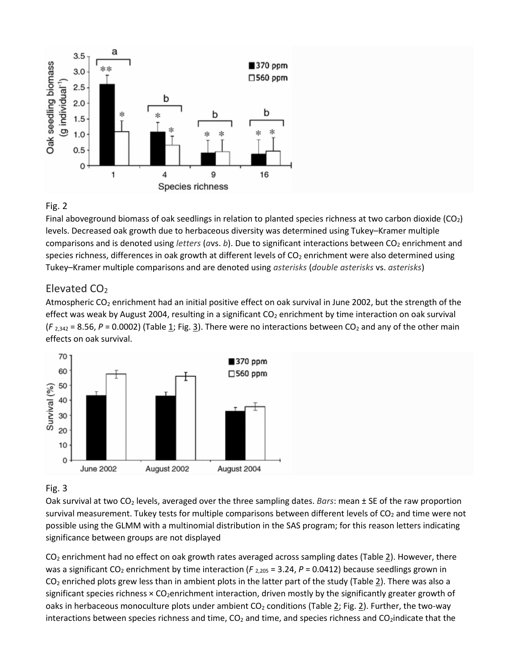

#### Fig. 2

Final aboveground biomass of oak seedlings in relation to planted species richness at two carbon dioxide (CO2) levels. Decreased oak growth due to herbaceous diversity was determined using Tukey–Kramer multiple comparisons and is denoted using *letters* (*a*vs. *b*). Due to significant interactions between CO<sub>2</sub> enrichment and species richness, differences in oak growth at different levels of CO<sub>2</sub> enrichment were also determined using Tukey–Kramer multiple comparisons and are denoted using *asterisks* (*double asterisks* vs. *asterisks*)

#### Elevated CO<sub>2</sub>

Atmospheric CO2 enrichment had an initial positive effect on oak survival in June 2002, but the strength of the effect was weak by August 2004, resulting in a significant  $CO<sub>2</sub>$  enrichment by time interaction on oak survival  $(F_{2,342} = 8.56, P = 0.0002)$  (Table [1;](https://link.springer.com/article/10.1007%2Fs00442-012-2420-y#Tab1) Fig. [3\)](https://link.springer.com/article/10.1007%2Fs00442-012-2420-y#Fig3). There were no interactions between CO<sub>2</sub> and any of the other main effects on oak survival.



#### Fig. 3

Oak survival at two CO2 levels, averaged over the three sampling dates. *Bars*: mean ± SE of the raw proportion survival measurement. Tukey tests for multiple comparisons between different levels of  $CO<sub>2</sub>$  and time were not possible using the GLMM with a multinomial distribution in the SAS program; for this reason letters indicating significance between groups are not displayed

 $CO<sub>2</sub>$  enrichment had no effect on oak growth rates averaged across sampling dates (Table  $2$ ). However, there was a significant CO<sub>2</sub> enrichment by time interaction ( $F_{2,205}$  = 3.24,  $P$  = 0.0412) because seedlings grown in  $CO<sub>2</sub>$  enriched plots grew less than in ambient plots in the latter part of the study (Table [2\)](https://link.springer.com/article/10.1007%2Fs00442-012-2420-y#Tab2). There was also a significant species richness  $\times$  CO<sub>2</sub>enrichment interaction, driven mostly by the significantly greater growth of oaks in herbaceous monoculture plots under ambient  $CO<sub>2</sub>$  conditions (Table [2;](https://link.springer.com/article/10.1007%2Fs00442-012-2420-y#Tab2) Fig. [2\)](https://link.springer.com/article/10.1007%2Fs00442-012-2420-y#Fig2). Further, the two-way interactions between species richness and time,  $CO<sub>2</sub>$  and time, and species richness and  $CO<sub>2</sub>$ indicate that the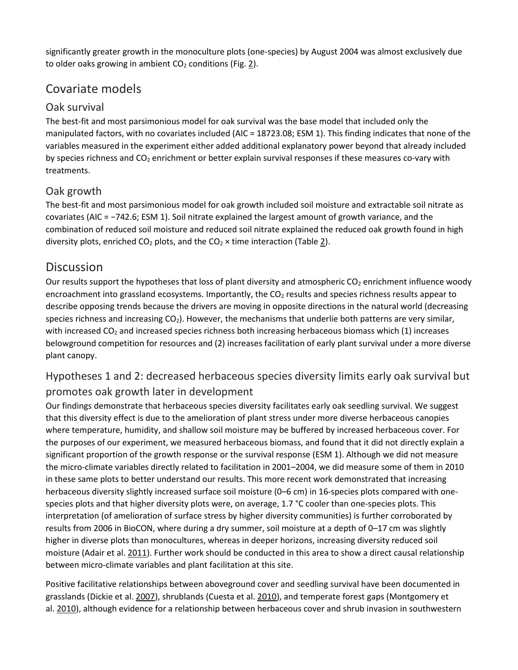significantly greater growth in the monoculture plots (one-species) by August 2004 was almost exclusively due to older oaks growing in ambient  $CO<sub>2</sub>$  conditions (Fig. [2\)](https://link.springer.com/article/10.1007%2Fs00442-012-2420-y#Fig2).

## Covariate models

### Oak survival

The best-fit and most parsimonious model for oak survival was the base model that included only the manipulated factors, with no covariates included (AIC = 18723.08; ESM 1). This finding indicates that none of the variables measured in the experiment either added additional explanatory power beyond that already included by species richness and CO<sub>2</sub> enrichment or better explain survival responses if these measures co-vary with treatments.

## Oak growth

The best-fit and most parsimonious model for oak growth included soil moisture and extractable soil nitrate as covariates (AIC = −742.6; ESM 1). Soil nitrate explained the largest amount of growth variance, and the combination of reduced soil moisture and reduced soil nitrate explained the reduced oak growth found in high diversity plots, enriched CO<sub>2</sub> plots, and the CO<sub>2</sub>  $\times$  time interaction (Table <u>2</u>).

## **Discussion**

Our results support the hypotheses that loss of plant diversity and atmospheric  $CO<sub>2</sub>$  enrichment influence woody encroachment into grassland ecosystems. Importantly, the CO<sub>2</sub> results and species richness results appear to describe opposing trends because the drivers are moving in opposite directions in the natural world (decreasing species richness and increasing  $CO<sub>2</sub>$ ). However, the mechanisms that underlie both patterns are very similar, with increased CO<sub>2</sub> and increased species richness both increasing herbaceous biomass which (1) increases belowground competition for resources and (2) increases facilitation of early plant survival under a more diverse plant canopy.

## Hypotheses 1 and 2: decreased herbaceous species diversity limits early oak survival but promotes oak growth later in development

Our findings demonstrate that herbaceous species diversity facilitates early oak seedling survival. We suggest that this diversity effect is due to the amelioration of plant stress under more diverse herbaceous canopies where temperature, humidity, and shallow soil moisture may be buffered by increased herbaceous cover. For the purposes of our experiment, we measured herbaceous biomass, and found that it did not directly explain a significant proportion of the growth response or the survival response (ESM 1). Although we did not measure the micro-climate variables directly related to facilitation in 2001–2004, we did measure some of them in 2010 in these same plots to better understand our results. This more recent work demonstrated that increasing herbaceous diversity slightly increased surface soil moisture (0–6 cm) in 16-species plots compared with onespecies plots and that higher diversity plots were, on average, 1.7 °C cooler than one-species plots. This interpretation (of amelioration of surface stress by higher diversity communities) is further corroborated by results from 2006 in BioCON, where during a dry summer, soil moisture at a depth of 0–17 cm was slightly higher in diverse plots than monocultures, whereas in deeper horizons, increasing diversity reduced soil moisture (Adair et al. [2011\)](https://link.springer.com/article/10.1007%2Fs00442-012-2420-y#CR2). Further work should be conducted in this area to show a direct causal relationship between micro-climate variables and plant facilitation at this site.

Positive facilitative relationships between aboveground cover and seedling survival have been documented in grasslands (Dickie et al. [2007\)](https://link.springer.com/article/10.1007%2Fs00442-012-2420-y#CR24), shrublands (Cuesta et al. [2010\)](https://link.springer.com/article/10.1007%2Fs00442-012-2420-y#CR20), and temperate forest gaps (Montgomery et al. [2010\)](https://link.springer.com/article/10.1007%2Fs00442-012-2420-y#CR39), although evidence for a relationship between herbaceous cover and shrub invasion in southwestern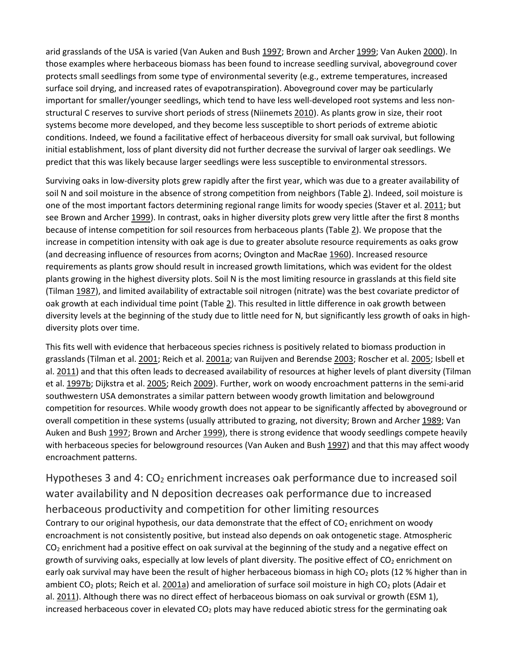arid grasslands of the USA is varied (Van Auken and Bush [1997;](https://link.springer.com/article/10.1007%2Fs00442-012-2420-y#CR61) Brown and Archer [1999;](https://link.springer.com/article/10.1007%2Fs00442-012-2420-y#CR12) Van Auken [2000\)](https://link.springer.com/article/10.1007%2Fs00442-012-2420-y#CR60). In those examples where herbaceous biomass has been found to increase seedling survival, aboveground cover protects small seedlings from some type of environmental severity (e.g., extreme temperatures, increased surface soil drying, and increased rates of evapotranspiration). Aboveground cover may be particularly important for smaller/younger seedlings, which tend to have less well-developed root systems and less nonstructural C reserves to survive short periods of stress (Niinemets [2010\)](https://link.springer.com/article/10.1007%2Fs00442-012-2420-y#CR41). As plants grow in size, their root systems become more developed, and they become less susceptible to short periods of extreme abiotic conditions. Indeed, we found a facilitative effect of herbaceous diversity for small oak survival, but following initial establishment, loss of plant diversity did not further decrease the survival of larger oak seedlings. We predict that this was likely because larger seedlings were less susceptible to environmental stressors.

Surviving oaks in low-diversity plots grew rapidly after the first year, which was due to a greater availability of soil N and soil moisture in the absence of strong competition from neighbors (Table [2\)](https://link.springer.com/article/10.1007%2Fs00442-012-2420-y#Tab2). Indeed, soil moisture is one of the most important factors determining regional range limits for woody species (Staver et al. [2011;](https://link.springer.com/article/10.1007%2Fs00442-012-2420-y#CR55) but see Brown and Archer [1999\)](https://link.springer.com/article/10.1007%2Fs00442-012-2420-y#CR12). In contrast, oaks in higher diversity plots grew very little after the first 8 months because of intense competition for soil resources from herbaceous plants (Table [2\)](https://link.springer.com/article/10.1007%2Fs00442-012-2420-y#Tab2). We propose that the increase in competition intensity with oak age is due to greater absolute resource requirements as oaks grow (and decreasing influence of resources from acorns; Ovington and MacRae [1960\)](https://link.springer.com/article/10.1007%2Fs00442-012-2420-y#CR42). Increased resource requirements as plants grow should result in increased growth limitations, which was evident for the oldest plants growing in the highest diversity plots. Soil N is the most limiting resource in grasslands at this field site (Tilman [1987\)](https://link.springer.com/article/10.1007%2Fs00442-012-2420-y#CR56), and limited availability of extractable soil nitrogen (nitrate) was the best covariate predictor of oak growth at each individual time point (Table [2\)](https://link.springer.com/article/10.1007%2Fs00442-012-2420-y#Tab2). This resulted in little difference in oak growth between diversity levels at the beginning of the study due to little need for N, but significantly less growth of oaks in highdiversity plots over time.

This fits well with evidence that herbaceous species richness is positively related to biomass production in grasslands (Tilman et al. [2001;](https://link.springer.com/article/10.1007%2Fs00442-012-2420-y#CR59) Reich et al. [2001a;](https://link.springer.com/article/10.1007%2Fs00442-012-2420-y#CR47) van Ruijven and Berendse [2003;](https://link.springer.com/article/10.1007%2Fs00442-012-2420-y#CR62) Roscher et al. [2005;](https://link.springer.com/article/10.1007%2Fs00442-012-2420-y#CR52) Isbell et al. [2011\)](https://link.springer.com/article/10.1007%2Fs00442-012-2420-y#CR30) and that this often leads to decreased availability of resources at higher levels of plant diversity (Tilman et al. [1997b;](https://link.springer.com/article/10.1007%2Fs00442-012-2420-y#CR58) Dijkstra et al. [2005;](https://link.springer.com/article/10.1007%2Fs00442-012-2420-y#CR25) Reich [2009\)](https://link.springer.com/article/10.1007%2Fs00442-012-2420-y#CR46). Further, work on woody encroachment patterns in the semi-arid southwestern USA demonstrates a similar pattern between woody growth limitation and belowground competition for resources. While woody growth does not appear to be significantly affected by aboveground or overall competition in these systems (usually attributed to grazing, not diversity; Brown and Archer [1989;](https://link.springer.com/article/10.1007%2Fs00442-012-2420-y#CR11) Van Auken and Bush [1997;](https://link.springer.com/article/10.1007%2Fs00442-012-2420-y#CR61) Brown and Archer [1999\)](https://link.springer.com/article/10.1007%2Fs00442-012-2420-y#CR12), there is strong evidence that woody seedlings compete heavily with herbaceous species for belowground resources (Van Auken and Bush [1997\)](https://link.springer.com/article/10.1007%2Fs00442-012-2420-y#CR61) and that this may affect woody encroachment patterns.

Hypotheses 3 and 4:  $CO<sub>2</sub>$  enrichment increases oak performance due to increased soil water availability and N deposition decreases oak performance due to increased herbaceous productivity and competition for other limiting resources Contrary to our original hypothesis, our data demonstrate that the effect of  $CO<sub>2</sub>$  enrichment on woody encroachment is not consistently positive, but instead also depends on oak ontogenetic stage. Atmospheric  $CO<sub>2</sub>$  enrichment had a positive effect on oak survival at the beginning of the study and a negative effect on growth of surviving oaks, especially at low levels of plant diversity. The positive effect of  $CO<sub>2</sub>$  enrichment on early oak survival may have been the result of higher herbaceous biomass in high CO<sub>2</sub> plots (12 % higher than in ambient CO<sub>2</sub> plots; Reich et al. [2001a\)](https://link.springer.com/article/10.1007%2Fs00442-012-2420-y#CR47) and amelioration of surface soil moisture in high CO<sub>2</sub> plots (Adair et al. [2011\)](https://link.springer.com/article/10.1007%2Fs00442-012-2420-y#CR2). Although there was no direct effect of herbaceous biomass on oak survival or growth (ESM 1), increased herbaceous cover in elevated  $CO<sub>2</sub>$  plots may have reduced abiotic stress for the germinating oak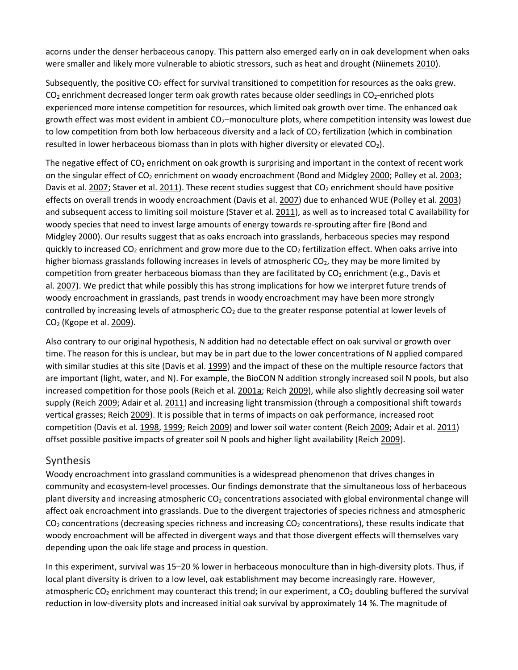acorns under the denser herbaceous canopy. This pattern also emerged early on in oak development when oaks were smaller and likely more vulnerable to abiotic stressors, such as heat and drought (Niinemets [2010\)](https://link.springer.com/article/10.1007%2Fs00442-012-2420-y#CR41).

Subsequently, the positive CO<sub>2</sub> effect for survival transitioned to competition for resources as the oaks grew.  $CO<sub>2</sub>$  enrichment decreased longer term oak growth rates because older seedlings in  $CO<sub>2</sub>$ -enriched plots experienced more intense competition for resources, which limited oak growth over time. The enhanced oak growth effect was most evident in ambient  $CO<sub>2</sub>$ –monoculture plots, where competition intensity was lowest due to low competition from both low herbaceous diversity and a lack of  $CO<sub>2</sub>$  fertilization (which in combination resulted in lower herbaceous biomass than in plots with higher diversity or elevated CO<sub>2</sub>).

The negative effect of  $CO<sub>2</sub>$  enrichment on oak growth is surprising and important in the context of recent work on the singular effect of CO<sub>2</sub> enrichment on woody encroachment (Bond and Midgley [2000;](https://link.springer.com/article/10.1007%2Fs00442-012-2420-y#CR10) Polley et al. [2003;](https://link.springer.com/article/10.1007%2Fs00442-012-2420-y#CR44) Davis et al. [2007;](https://link.springer.com/article/10.1007%2Fs00442-012-2420-y#CR23) Staver et al. [2011\)](https://link.springer.com/article/10.1007%2Fs00442-012-2420-y#CR55). These recent studies suggest that  $CO<sub>2</sub>$  enrichment should have positive effects on overall trends in woody encroachment (Davis et al. [2007\)](https://link.springer.com/article/10.1007%2Fs00442-012-2420-y#CR23) due to enhanced WUE (Polley et al. [2003\)](https://link.springer.com/article/10.1007%2Fs00442-012-2420-y#CR44) and subsequent access to limiting soil moisture (Staver et al. [2011\)](https://link.springer.com/article/10.1007%2Fs00442-012-2420-y#CR55), as well as to increased total C availability for woody species that need to invest large amounts of energy towards re-sprouting after fire (Bond and Midgley [2000\)](https://link.springer.com/article/10.1007%2Fs00442-012-2420-y#CR10). Our results suggest that as oaks encroach into grasslands, herbaceous species may respond quickly to increased  $CO_2$  enrichment and grow more due to the  $CO_2$  fertilization effect. When oaks arrive into higher biomass grasslands following increases in levels of atmospheric  $CO<sub>2</sub>$ , they may be more limited by competition from greater herbaceous biomass than they are facilitated by  $CO<sub>2</sub>$  enrichment (e.g., Davis et al. [2007\)](https://link.springer.com/article/10.1007%2Fs00442-012-2420-y#CR23). We predict that while possibly this has strong implications for how we interpret future trends of woody encroachment in grasslands, past trends in woody encroachment may have been more strongly controlled by increasing levels of atmospheric  $CO<sub>2</sub>$  due to the greater response potential at lower levels of CO2 (Kgope et al. [2009\)](https://link.springer.com/article/10.1007%2Fs00442-012-2420-y#CR33).

Also contrary to our original hypothesis, N addition had no detectable effect on oak survival or growth over time. The reason for this is unclear, but may be in part due to the lower concentrations of N applied compared with similar studies at this site (Davis et al. [1999\)](https://link.springer.com/article/10.1007%2Fs00442-012-2420-y#CR22) and the impact of these on the multiple resource factors that are important (light, water, and N). For example, the BioCON N addition strongly increased soil N pools, but also increased competition for those pools (Reich et al. [2001a;](https://link.springer.com/article/10.1007%2Fs00442-012-2420-y#CR47) Reich [2009\)](https://link.springer.com/article/10.1007%2Fs00442-012-2420-y#CR46), while also slightly decreasing soil water supply (Reich [2009;](https://link.springer.com/article/10.1007%2Fs00442-012-2420-y#CR46) Adair et al. [2011\)](https://link.springer.com/article/10.1007%2Fs00442-012-2420-y#CR2) and increasing light transmission (through a compositional shift towards vertical grasses; Reich [2009\)](https://link.springer.com/article/10.1007%2Fs00442-012-2420-y#CR46). It is possible that in terms of impacts on oak performance, increased root competition (Davis et al. [1998,](https://link.springer.com/article/10.1007%2Fs00442-012-2420-y#CR21) [1999;](https://link.springer.com/article/10.1007%2Fs00442-012-2420-y#CR22) Reich [2009\)](https://link.springer.com/article/10.1007%2Fs00442-012-2420-y#CR46) and lower soil water content (Reich [2009;](https://link.springer.com/article/10.1007%2Fs00442-012-2420-y#CR46) Adair et al. [2011\)](https://link.springer.com/article/10.1007%2Fs00442-012-2420-y#CR2) offset possible positive impacts of greater soil N pools and higher light availability (Reich [2009\)](https://link.springer.com/article/10.1007%2Fs00442-012-2420-y#CR46).

#### Synthesis

Woody encroachment into grassland communities is a widespread phenomenon that drives changes in community and ecosystem-level processes. Our findings demonstrate that the simultaneous loss of herbaceous plant diversity and increasing atmospheric CO<sub>2</sub> concentrations associated with global environmental change will affect oak encroachment into grasslands. Due to the divergent trajectories of species richness and atmospheric  $CO<sub>2</sub>$  concentrations (decreasing species richness and increasing  $CO<sub>2</sub>$  concentrations), these results indicate that woody encroachment will be affected in divergent ways and that those divergent effects will themselves vary depending upon the oak life stage and process in question.

In this experiment, survival was 15–20 % lower in herbaceous monoculture than in high-diversity plots. Thus, if local plant diversity is driven to a low level, oak establishment may become increasingly rare. However, atmospheric CO<sub>2</sub> enrichment may counteract this trend; in our experiment, a CO<sub>2</sub> doubling buffered the survival reduction in low-diversity plots and increased initial oak survival by approximately 14 %. The magnitude of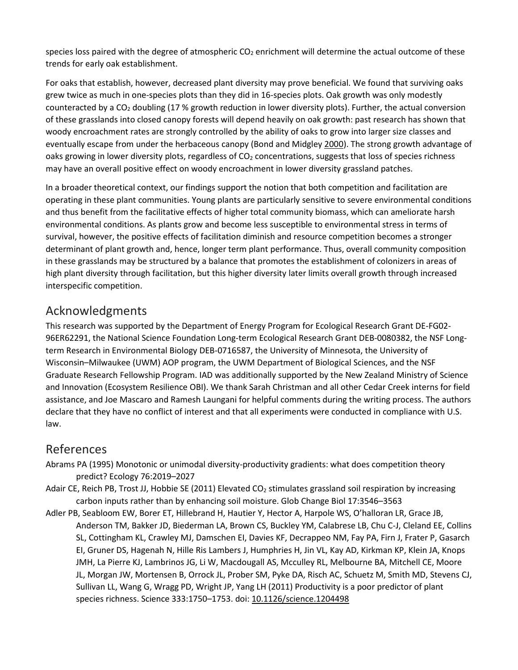species loss paired with the degree of atmospheric  $CO<sub>2</sub>$  enrichment will determine the actual outcome of these trends for early oak establishment.

For oaks that establish, however, decreased plant diversity may prove beneficial. We found that surviving oaks grew twice as much in one-species plots than they did in 16-species plots. Oak growth was only modestly counteracted by a  $CO<sub>2</sub>$  doubling (17 % growth reduction in lower diversity plots). Further, the actual conversion of these grasslands into closed canopy forests will depend heavily on oak growth: past research has shown that woody encroachment rates are strongly controlled by the ability of oaks to grow into larger size classes and eventually escape from under the herbaceous canopy (Bond and Midgley [2000\)](https://link.springer.com/article/10.1007%2Fs00442-012-2420-y#CR10). The strong growth advantage of oaks growing in lower diversity plots, regardless of  $CO<sub>2</sub>$  concentrations, suggests that loss of species richness may have an overall positive effect on woody encroachment in lower diversity grassland patches.

In a broader theoretical context, our findings support the notion that both competition and facilitation are operating in these plant communities. Young plants are particularly sensitive to severe environmental conditions and thus benefit from the facilitative effects of higher total community biomass, which can ameliorate harsh environmental conditions. As plants grow and become less susceptible to environmental stress in terms of survival, however, the positive effects of facilitation diminish and resource competition becomes a stronger determinant of plant growth and, hence, longer term plant performance. Thus, overall community composition in these grasslands may be structured by a balance that promotes the establishment of colonizers in areas of high plant diversity through facilitation, but this higher diversity later limits overall growth through increased interspecific competition.

## Acknowledgments

This research was supported by the Department of Energy Program for Ecological Research Grant DE-FG02- 96ER62291, the National Science Foundation Long-term Ecological Research Grant DEB-0080382, the NSF Longterm Research in Environmental Biology DEB-0716587, the University of Minnesota, the University of Wisconsin–Milwaukee (UWM) AOP program, the UWM Department of Biological Sciences, and the NSF Graduate Research Fellowship Program. IAD was additionally supported by the New Zealand Ministry of Science and Innovation (Ecosystem Resilience OBI). We thank Sarah Christman and all other Cedar Creek interns for field assistance, and Joe Mascaro and Ramesh Laungani for helpful comments during the writing process. The authors declare that they have no conflict of interest and that all experiments were conducted in compliance with U.S. law.

## References

- Abrams PA (1995) Monotonic or unimodal diversity-productivity gradients: what does competition theory predict? Ecology 76:2019–2027
- Adair CE, Reich PB, Trost JJ, Hobbie SE (2011) Elevated CO<sub>2</sub> stimulates grassland soil respiration by increasing carbon inputs rather than by enhancing soil moisture. Glob Change Biol 17:3546–3563
- Adler PB, Seabloom EW, Borer ET, Hillebrand H, Hautier Y, Hector A, Harpole WS, O'halloran LR, Grace JB, Anderson TM, Bakker JD, Biederman LA, Brown CS, Buckley YM, Calabrese LB, Chu C-J, Cleland EE, Collins SL, Cottingham KL, Crawley MJ, Damschen EI, Davies KF, Decrappeo NM, Fay PA, Firn J, Frater P, Gasarch EI, Gruner DS, Hagenah N, Hille Ris Lambers J, Humphries H, Jin VL, Kay AD, Kirkman KP, Klein JA, Knops JMH, La Pierre KJ, Lambrinos JG, Li W, Macdougall AS, Mcculley RL, Melbourne BA, Mitchell CE, Moore JL, Morgan JW, Mortensen B, Orrock JL, Prober SM, Pyke DA, Risch AC, Schuetz M, Smith MD, Stevens CJ, Sullivan LL, Wang G, Wragg PD, Wright JP, Yang LH (2011) Productivity is a poor predictor of plant species richness. Science 333:1750-1753. doi: [10.1126/science.1204498](https://doi.org/10.1126/science.1204498)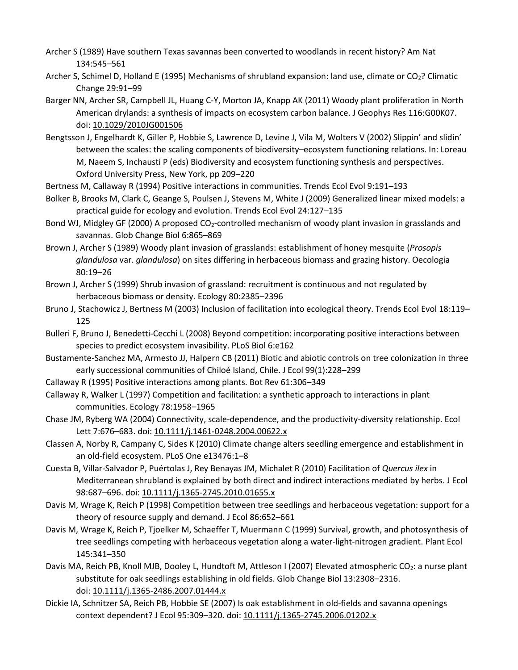- Archer S (1989) Have southern Texas savannas been converted to woodlands in recent history? Am Nat 134:545–561
- Archer S, Schimel D, Holland E (1995) Mechanisms of shrubland expansion: land use, climate or CO<sub>2</sub>? Climatic Change 29:91–99
- Barger NN, Archer SR, Campbell JL, Huang C-Y, Morton JA, Knapp AK (2011) Woody plant proliferation in North American drylands: a synthesis of impacts on ecosystem carbon balance. J Geophys Res 116:G00K07. doi: [10.1029/2010JG001506](https://doi.org/10.1029/2010JG001506)
- Bengtsson J, Engelhardt K, Giller P, Hobbie S, Lawrence D, Levine J, Vila M, Wolters V (2002) Slippin' and slidin' between the scales: the scaling components of biodiversity–ecosystem functioning relations. In: Loreau M, Naeem S, Inchausti P (eds) Biodiversity and ecosystem functioning synthesis and perspectives. Oxford University Press, New York, pp 209–220
- Bertness M, Callaway R (1994) Positive interactions in communities. Trends Ecol Evol 9:191–193
- Bolker B, Brooks M, Clark C, Geange S, Poulsen J, Stevens M, White J (2009) Generalized linear mixed models: a practical guide for ecology and evolution. Trends Ecol Evol 24:127–135
- Bond WJ, Midgley GF (2000) A proposed CO<sub>2</sub>-controlled mechanism of woody plant invasion in grasslands and savannas. Glob Change Biol 6:865–869
- Brown J, Archer S (1989) Woody plant invasion of grasslands: establishment of honey mesquite (*Prosopis glandulosa* var. *glandulosa*) on sites differing in herbaceous biomass and grazing history. Oecologia 80:19–26
- Brown J, Archer S (1999) Shrub invasion of grassland: recruitment is continuous and not regulated by herbaceous biomass or density. Ecology 80:2385–2396
- Bruno J, Stachowicz J, Bertness M (2003) Inclusion of facilitation into ecological theory. Trends Ecol Evol 18:119– 125
- Bulleri F, Bruno J, Benedetti-Cecchi L (2008) Beyond competition: incorporating positive interactions between species to predict ecosystem invasibility. PLoS Biol 6:e162
- Bustamente-Sanchez MA, Armesto JJ, Halpern CB (2011) Biotic and abiotic controls on tree colonization in three early successional communities of Chiloé Island, Chile. J Ecol 99(1):228–299
- Callaway R (1995) Positive interactions among plants. Bot Rev 61:306–349
- Callaway R, Walker L (1997) Competition and facilitation: a synthetic approach to interactions in plant communities. Ecology 78:1958–1965
- Chase JM, Ryberg WA (2004) Connectivity, scale-dependence, and the productivity-diversity relationship. Ecol Lett 7:676–683. doi: [10.1111/j.1461-0248.2004.00622.x](https://doi.org/10.1111/j.1461-0248.2004.00622.x)
- Classen A, Norby R, Campany C, Sides K (2010) Climate change alters seedling emergence and establishment in an old-field ecosystem. PLoS One e13476:1–8
- Cuesta B, Villar-Salvador P, Puértolas J, Rey Benayas JM, Michalet R (2010) Facilitation of *Quercus ilex* in Mediterranean shrubland is explained by both direct and indirect interactions mediated by herbs. J Ecol 98:687–696. doi: [10.1111/j.1365-2745.2010.01655.x](https://doi.org/10.1111/j.1365-2745.2010.01655.x)
- Davis M, Wrage K, Reich P (1998) Competition between tree seedlings and herbaceous vegetation: support for a theory of resource supply and demand. J Ecol 86:652–661
- Davis M, Wrage K, Reich P, Tjoelker M, Schaeffer T, Muermann C (1999) Survival, growth, and photosynthesis of tree seedlings competing with herbaceous vegetation along a water-light-nitrogen gradient. Plant Ecol 145:341–350
- Davis MA, Reich PB, Knoll MJB, Dooley L, Hundtoft M, Attleson I (2007) Elevated atmospheric CO<sub>2</sub>: a nurse plant substitute for oak seedlings establishing in old fields. Glob Change Biol 13:2308–2316. doi: [10.1111/j.1365-2486.2007.01444.x](https://doi.org/10.1111/j.1365-2486.2007.01444.x)
- Dickie IA, Schnitzer SA, Reich PB, Hobbie SE (2007) Is oak establishment in old-fields and savanna openings context dependent? J Ecol 95:309–320. doi: [10.1111/j.1365-2745.2006.01202.x](https://doi.org/10.1111/j.1365-2745.2006.01202.x)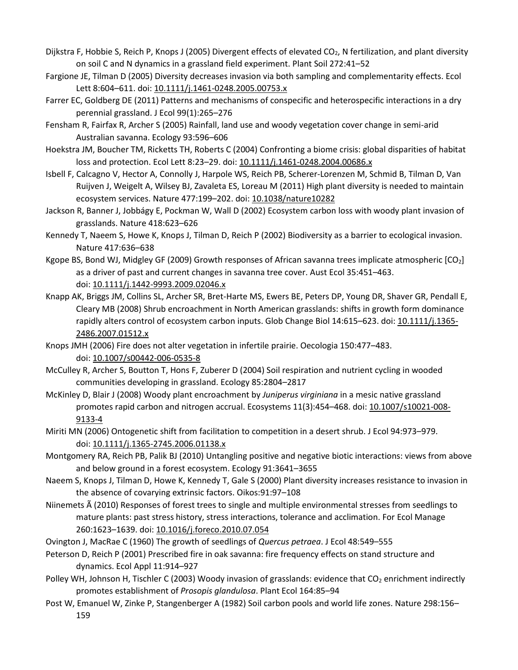- Dijkstra F, Hobbie S, Reich P, Knops J (2005) Divergent effects of elevated CO<sub>2</sub>, N fertilization, and plant diversity on soil C and N dynamics in a grassland field experiment. Plant Soil 272:41–52
- Fargione JE, Tilman D (2005) Diversity decreases invasion via both sampling and complementarity effects. Ecol Lett 8:604-611. doi: [10.1111/j.1461-0248.2005.00753.x](https://doi.org/10.1111/j.1461-0248.2005.00753.x)
- Farrer EC, Goldberg DE (2011) Patterns and mechanisms of conspecific and heterospecific interactions in a dry perennial grassland. J Ecol 99(1):265–276
- Fensham R, Fairfax R, Archer S (2005) Rainfall, land use and woody vegetation cover change in semi-arid Australian savanna. Ecology 93:596–606
- Hoekstra JM, Boucher TM, Ricketts TH, Roberts C (2004) Confronting a biome crisis: global disparities of habitat loss and protection. Ecol Lett 8:23–29. doi: [10.1111/j.1461-0248.2004.00686.x](https://doi.org/10.1111/j.1461-0248.2004.00686.x)
- Isbell F, Calcagno V, Hector A, Connolly J, Harpole WS, Reich PB, Scherer-Lorenzen M, Schmid B, Tilman D, Van Ruijven J, Weigelt A, Wilsey BJ, Zavaleta ES, Loreau M (2011) High plant diversity is needed to maintain ecosystem services. Nature 477:199–202. doi: [10.1038/nature10282](https://doi.org/10.1038/nature10282)
- Jackson R, Banner J, Jobbágy E, Pockman W, Wall D (2002) Ecosystem carbon loss with woody plant invasion of grasslands. Nature 418:623–626
- Kennedy T, Naeem S, Howe K, Knops J, Tilman D, Reich P (2002) Biodiversity as a barrier to ecological invasion. Nature 417:636–638
- Kgope BS, Bond WJ, Midgley GF (2009) Growth responses of African savanna trees implicate atmospheric [CO<sub>2</sub>] as a driver of past and current changes in savanna tree cover. Aust Ecol 35:451–463. doi: [10.1111/j.1442-9993.2009.02046.x](https://doi.org/10.1111/j.1442-9993.2009.02046.x)
- Knapp AK, Briggs JM, Collins SL, Archer SR, Bret-Harte MS, Ewers BE, Peters DP, Young DR, Shaver GR, Pendall E, Cleary MB (2008) Shrub encroachment in North American grasslands: shifts in growth form dominance rapidly alters control of ecosystem carbon inputs. Glob Change Biol 14:615-623. doi: [10.1111/j.1365-](https://doi.org/10.1111/j.1365-2486.2007.01512.x) [2486.2007.01512.x](https://doi.org/10.1111/j.1365-2486.2007.01512.x)
- Knops JMH (2006) Fire does not alter vegetation in infertile prairie. Oecologia 150:477–483. doi: [10.1007/s00442-006-0535-8](https://doi.org/10.1007/s00442-006-0535-8)
- McCulley R, Archer S, Boutton T, Hons F, Zuberer D (2004) Soil respiration and nutrient cycling in wooded communities developing in grassland. Ecology 85:2804–2817
- McKinley D, Blair J (2008) Woody plant encroachment by *Juniperus virginiana* in a mesic native grassland promotes rapid carbon and nitrogen accrual. Ecosystems 11(3):454–468. doi: [10.1007/s10021-008-](https://doi.org/10.1007/s10021-008-9133-4) [9133-4](https://doi.org/10.1007/s10021-008-9133-4)
- Miriti MN (2006) Ontogenetic shift from facilitation to competition in a desert shrub. J Ecol 94:973–979. doi: [10.1111/j.1365-2745.2006.01138.x](https://doi.org/10.1111/j.1365-2745.2006.01138.x)
- Montgomery RA, Reich PB, Palik BJ (2010) Untangling positive and negative biotic interactions: views from above and below ground in a forest ecosystem. Ecology 91:3641–3655
- Naeem S, Knops J, Tilman D, Howe K, Kennedy T, Gale S (2000) Plant diversity increases resistance to invasion in the absence of covarying extrinsic factors. Oikos:91:97–108
- Niinemets à (2010) Responses of forest trees to single and multiple environmental stresses from seedlings to mature plants: past stress history, stress interactions, tolerance and acclimation. For Ecol Manage 260:1623–1639. doi: [10.1016/j.foreco.2010.07.054](https://doi.org/10.1016/j.foreco.2010.07.054)
- Ovington J, MacRae C (1960) The growth of seedlings of *Quercus petraea*. J Ecol 48:549–555
- Peterson D, Reich P (2001) Prescribed fire in oak savanna: fire frequency effects on stand structure and dynamics. Ecol Appl 11:914–927
- Polley WH, Johnson H, Tischler C (2003) Woody invasion of grasslands: evidence that CO<sub>2</sub> enrichment indirectly promotes establishment of *Prosopis glandulosa*. Plant Ecol 164:85–94
- Post W, Emanuel W, Zinke P, Stangenberger A (1982) Soil carbon pools and world life zones. Nature 298:156– 159